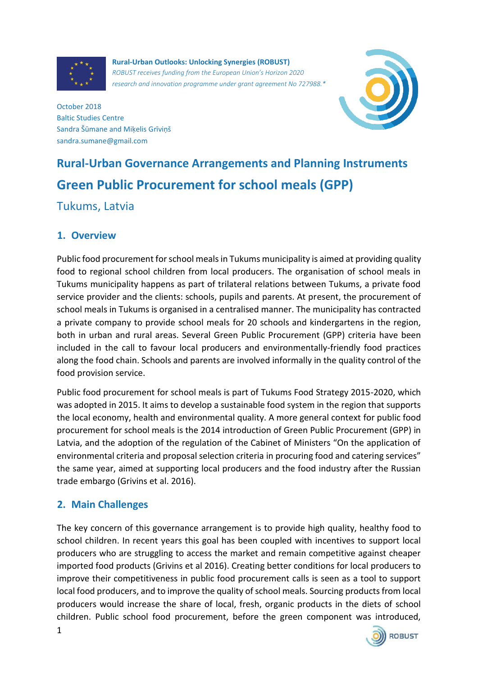

**Rural-Urban Outlooks: Unlocking Synergies (ROBUST)** *ROBUST receives funding from the European Union's Horizon 2020 research and innovation programme under grant agreement No 727988.\**



October 2018 Baltic Studies Centre Sandra Šūmane and Miķelis Grīviņš sandra.sumane@gmail.com

# **Rural-Urban Governance Arrangements and Planning Instruments Green Public Procurement for school meals (GPP)**

## Tukums, Latvia

#### **1. Overview**

Public food procurement for school meals in Tukums municipality is aimed at providing quality food to regional school children from local producers. The organisation of school meals in Tukums municipality happens as part of trilateral relations between Tukums, a private food service provider and the clients: schools, pupils and parents. At present, the procurement of school meals in Tukums is organised in a centralised manner. The municipality has contracted a private company to provide school meals for 20 schools and kindergartens in the region, both in urban and rural areas. Several Green Public Procurement (GPP) criteria have been included in the call to favour local producers and environmentally-friendly food practices along the food chain. Schools and parents are involved informally in the quality control of the food provision service.

Public food procurement for school meals is part of Tukums Food Strategy 2015-2020, which was adopted in 2015. It aims to develop a sustainable food system in the region that supports the local economy, health and environmental quality. A more general context for public food procurement for school meals is the 2014 introduction of Green Public Procurement (GPP) in Latvia, and the adoption of the regulation of the Cabinet of Ministers "On the application of environmental criteria and proposal selection criteria in procuring food and catering services" the same year, aimed at supporting local producers and the food industry after the Russian trade embargo (Grivins et al. 2016).

### **2. Main Challenges**

The key concern of this governance arrangement is to provide high quality, healthy food to school children. In recent years this goal has been coupled with incentives to support local producers who are struggling to access the market and remain competitive against cheaper imported food products (Grivins et al 2016). Creating better conditions for local producers to improve their competitiveness in public food procurement calls is seen as a tool to support local food producers, and to improve the quality of school meals. Sourcing products from local producers would increase the share of local, fresh, organic products in the diets of school children. Public school food procurement, before the green component was introduced,

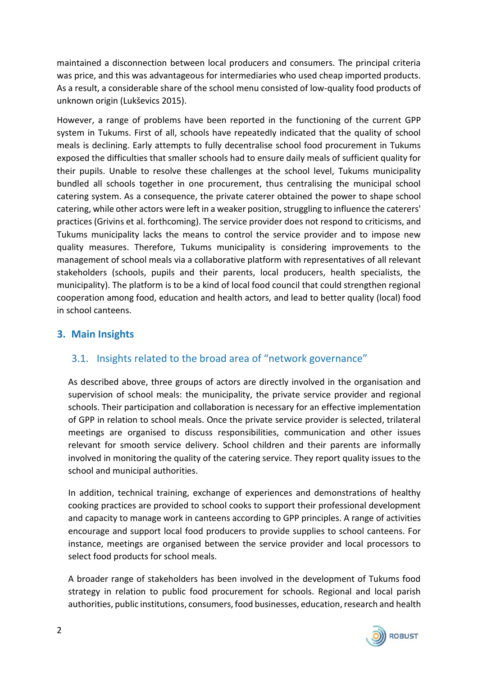maintained a disconnection between local producers and consumers. The principal criteria was price, and this was advantageous for intermediaries who used cheap imported products. As a result, a considerable share of the school menu consisted of low-quality food products of unknown origin (Lukševics 2015).

However, a range of problems have been reported in the functioning of the current GPP system in Tukums. First of all, schools have repeatedly indicated that the quality of school meals is declining. Early attempts to fully decentralise school food procurement in Tukums exposed the difficulties that smaller schools had to ensure daily meals of sufficient quality for their pupils. Unable to resolve these challenges at the school level, Tukums municipality bundled all schools together in one procurement, thus centralising the municipal school catering system. As a consequence, the private caterer obtained the power to shape school catering, while other actors were left in a weaker position, struggling to influence the caterers' practices (Grivins et al. forthcoming). The service provider does not respond to criticisms, and Tukums municipality lacks the means to control the service provider and to impose new quality measures. Therefore, Tukums municipality is considering improvements to the management of school meals via a collaborative platform with representatives of all relevant stakeholders (schools, pupils and their parents, local producers, health specialists, the municipality). The platform is to be a kind of local food council that could strengthen regional cooperation among food, education and health actors, and lead to better quality (local) food in school canteens.

#### **3. Main Insights**

### 3.1. Insights related to the broad area of "network governance"

As described above, three groups of actors are directly involved in the organisation and supervision of school meals: the municipality, the private service provider and regional schools. Their participation and collaboration is necessary for an effective implementation of GPP in relation to school meals. Once the private service provider is selected, trilateral meetings are organised to discuss responsibilities, communication and other issues relevant for smooth service delivery. School children and their parents are informally involved in monitoring the quality of the catering service. They report quality issues to the school and municipal authorities.

In addition, technical training, exchange of experiences and demonstrations of healthy cooking practices are provided to school cooks to support their professional development and capacity to manage work in canteens according to GPP principles. A range of activities encourage and support local food producers to provide supplies to school canteens. For instance, meetings are organised between the service provider and local processors to select food products for school meals.

A broader range of stakeholders has been involved in the development of Tukums food strategy in relation to public food procurement for schools. Regional and local parish authorities, public institutions, consumers, food businesses, education, research and health

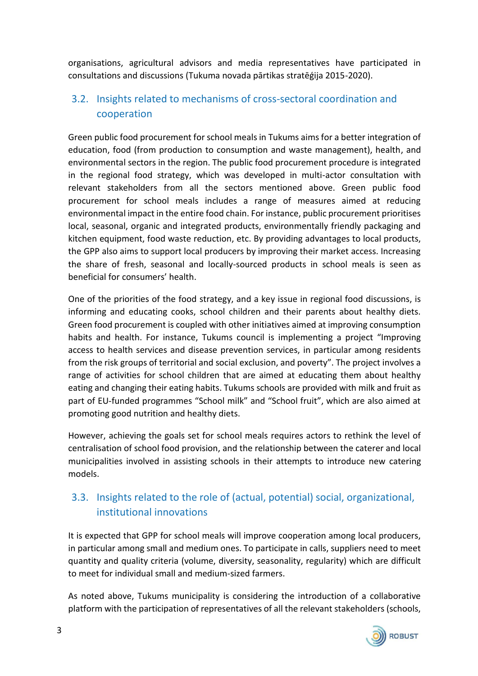organisations, agricultural advisors and media representatives have participated in consultations and discussions (Tukuma novada pārtikas stratēģija 2015-2020).

## 3.2. Insights related to mechanisms of cross-sectoral coordination and cooperation

Green public food procurement for school meals in Tukums aims for a better integration of education, food (from production to consumption and waste management), health, and environmental sectors in the region. The public food procurement procedure is integrated in the regional food strategy, which was developed in multi-actor consultation with relevant stakeholders from all the sectors mentioned above. Green public food procurement for school meals includes a range of measures aimed at reducing environmental impact in the entire food chain. For instance, public procurement prioritises local, seasonal, organic and integrated products, environmentally friendly packaging and kitchen equipment, food waste reduction, etc. By providing advantages to local products, the GPP also aims to support local producers by improving their market access. Increasing the share of fresh, seasonal and locally-sourced products in school meals is seen as beneficial for consumers' health.

One of the priorities of the food strategy, and a key issue in regional food discussions, is informing and educating cooks, school children and their parents about healthy diets. Green food procurement is coupled with other initiatives aimed at improving consumption habits and health. For instance, Tukums council is implementing a project "Improving access to health services and disease prevention services, in particular among residents from the risk groups of territorial and social exclusion, and poverty". The project involves a range of activities for school children that are aimed at educating them about healthy eating and changing their eating habits. Tukums schools are provided with milk and fruit as part of EU-funded programmes "School milk" and "School fruit", which are also aimed at promoting good nutrition and healthy diets.

However, achieving the goals set for school meals requires actors to rethink the level of centralisation of school food provision, and the relationship between the caterer and local municipalities involved in assisting schools in their attempts to introduce new catering models.

## 3.3. Insights related to the role of (actual, potential) social, organizational, institutional innovations

It is expected that GPP for school meals will improve cooperation among local producers, in particular among small and medium ones. To participate in calls, suppliers need to meet quantity and quality criteria (volume, diversity, seasonality, regularity) which are difficult to meet for individual small and medium-sized farmers.

As noted above, Tukums municipality is considering the introduction of a collaborative platform with the participation of representatives of all the relevant stakeholders (schools,

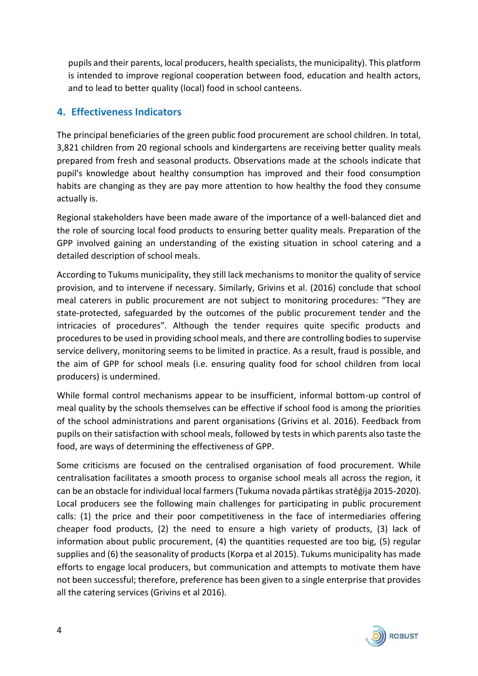pupils and their parents, local producers, health specialists, the municipality). This platform is intended to improve regional cooperation between food, education and health actors, and to lead to better quality (local) food in school canteens.

#### **4. Effectiveness Indicators**

The principal beneficiaries of the green public food procurement are school children. In total, 3,821 children from 20 regional schools and kindergartens are receiving better quality meals prepared from fresh and seasonal products. Observations made at the schools indicate that pupil's knowledge about healthy consumption has improved and their food consumption habits are changing as they are pay more attention to how healthy the food they consume actually is.

Regional stakeholders have been made aware of the importance of a well-balanced diet and the role of sourcing local food products to ensuring better quality meals. Preparation of the GPP involved gaining an understanding of the existing situation in school catering and a detailed description of school meals.

According to Tukums municipality, they still lack mechanisms to monitor the quality of service provision, and to intervene if necessary. Similarly, Grivins et al. (2016) conclude that school meal caterers in public procurement are not subject to monitoring procedures: "They are state-protected, safeguarded by the outcomes of the public procurement tender and the intricacies of procedures". Although the tender requires quite specific products and procedures to be used in providing school meals, and there are controlling bodies to supervise service delivery, monitoring seems to be limited in practice. As a result, fraud is possible, and the aim of GPP for school meals (i.e. ensuring quality food for school children from local producers) is undermined.

While formal control mechanisms appear to be insufficient, informal bottom-up control of meal quality by the schools themselves can be effective if school food is among the priorities of the school administrations and parent organisations (Grivins et al. 2016). Feedback from pupils on their satisfaction with school meals, followed by tests in which parents also taste the food, are ways of determining the effectiveness of GPP.

Some criticisms are focused on the centralised organisation of food procurement. While centralisation facilitates a smooth process to organise school meals all across the region, it can be an obstacle for individual local farmers (Tukuma novada pārtikas stratēģija 2015-2020). Local producers see the following main challenges for participating in public procurement calls: (1) the price and their poor competitiveness in the face of intermediaries offering cheaper food products, (2) the need to ensure a high variety of products, (3) lack of information about public procurement, (4) the quantities requested are too big, (5) regular supplies and (6) the seasonality of products (Korpa et al 2015). Tukums municipality has made efforts to engage local producers, but communication and attempts to motivate them have not been successful; therefore, preference has been given to a single enterprise that provides all the catering services (Grivins et al 2016).